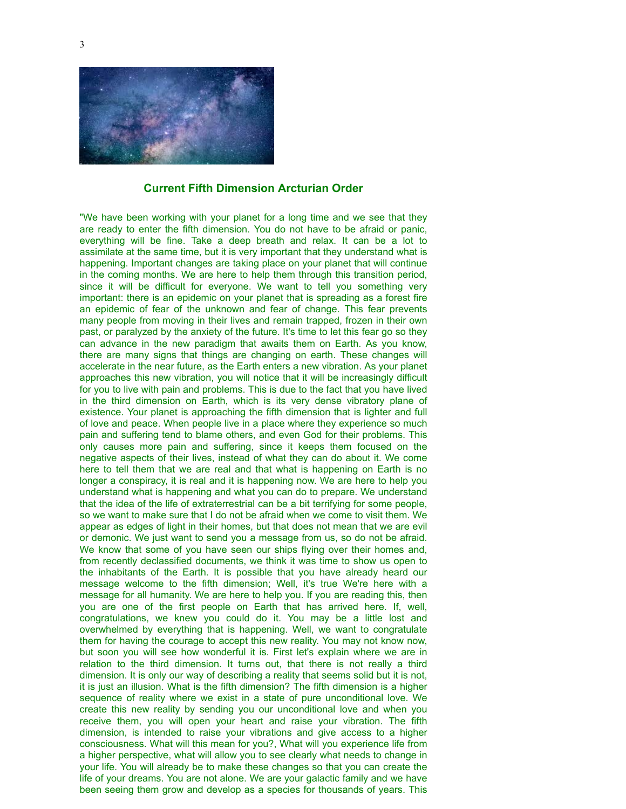

## **Current Fifth Dimension Arcturian Order**

"We have been working with your planet for a long time and we see that they are ready to enter the fifth dimension. You do not have to be afraid or panic, everything will be fine. Take a deep breath and relax. It can be a lot to assimilate at the same time, but it is very important that they understand what is happening. Important changes are taking place on your planet that will continue in the coming months. We are here to help them through this transition period, since it will be difficult for everyone. We want to tell you something very important: there is an epidemic on your planet that is spreading as a forest fire an epidemic of fear of the unknown and fear of change. This fear prevents many people from moving in their lives and remain trapped, frozen in their own past, or paralyzed by the anxiety of the future. It's time to let this fear go so they can advance in the new paradigm that awaits them on Earth. As you know, there are many signs that things are changing on earth. These changes will accelerate in the near future, as the Earth enters a new vibration. As your planet approaches this new vibration, you will notice that it will be increasingly difficult for you to live with pain and problems. This is due to the fact that you have lived in the third dimension on Earth, which is its very dense vibratory plane of existence. Your planet is approaching the fifth dimension that is lighter and full of love and peace. When people live in a place where they experience so much pain and suffering tend to blame others, and even God for their problems. This only causes more pain and suffering, since it keeps them focused on the negative aspects of their lives, instead of what they can do about it. We come here to tell them that we are real and that what is happening on Earth is no longer a conspiracy, it is real and it is happening now. We are here to help you understand what is happening and what you can do to prepare. We understand that the idea of the life of extraterrestrial can be a bit terrifying for some people, so we want to make sure that I do not be afraid when we come to visit them. We appear as edges of light in their homes, but that does not mean that we are evil or demonic. We just want to send you a message from us, so do not be afraid. We know that some of you have seen our ships flying over their homes and, from recently declassified documents, we think it was time to show us open to the inhabitants of the Earth. It is possible that you have already heard our message welcome to the fifth dimension; Well, it's true We're here with a message for all humanity. We are here to help you. If you are reading this, then you are one of the first people on Earth that has arrived here. If, well, congratulations, we knew you could do it. You may be a little lost and overwhelmed by everything that is happening. Well, we want to congratulate them for having the courage to accept this new reality. You may not know now, but soon you will see how wonderful it is. First let's explain where we are in relation to the third dimension. It turns out, that there is not really a third dimension. It is only our way of describing a reality that seems solid but it is not, it is just an illusion. What is the fifth dimension? The fifth dimension is a higher sequence of reality where we exist in a state of pure unconditional love. We create this new reality by sending you our unconditional love and when you receive them, you will open your heart and raise your vibration. The fifth dimension, is intended to raise your vibrations and give access to a higher consciousness. What will this mean for you?, What will you experience life from a higher perspective, what will allow you to see clearly what needs to change in your life. You will already be to make these changes so that you can create the life of your dreams. You are not alone. We are your galactic family and we have been seeing them grow and develop as a species for thousands of years. This